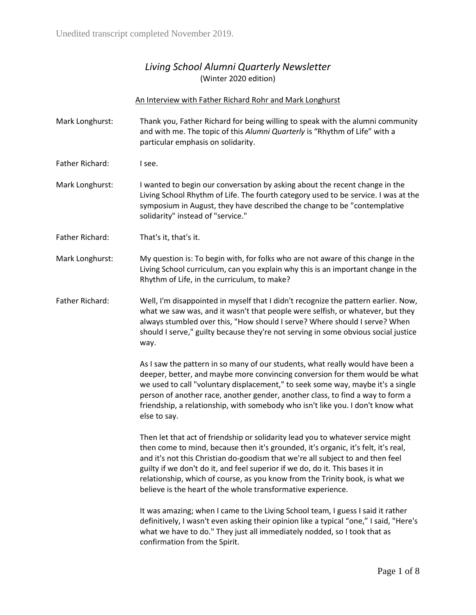## *Living School Alumni Quarterly Newsletter* (Winter 2020 edition)

## An Interview with Father Richard Rohr and Mark Longhurst

- Mark Longhurst: Thank you, Father Richard for being willing to speak with the alumni community and with me. The topic of this *Alumni Quarterly* is "Rhythm of Life" with a particular emphasis on solidarity.
- Father Richard: I see.
- Mark Longhurst: I wanted to begin our conversation by asking about the recent change in the Living School Rhythm of Life. The fourth category used to be service. I was at the symposium in August, they have described the change to be "contemplative solidarity" instead of "service."

Father Richard: That's it, that's it.

- Mark Longhurst: My question is: To begin with, for folks who are not aware of this change in the Living School curriculum, can you explain why this is an important change in the Rhythm of Life, in the curriculum, to make?
- Father Richard: Well, I'm disappointed in myself that I didn't recognize the pattern earlier. Now, what we saw was, and it wasn't that people were selfish, or whatever, but they always stumbled over this, "How should I serve? Where should I serve? When should I serve," guilty because they're not serving in some obvious social justice way.

As I saw the pattern in so many of our students, what really would have been a deeper, better, and maybe more convincing conversion for them would be what we used to call "voluntary displacement," to seek some way, maybe it's a single person of another race, another gender, another class, to find a way to form a friendship, a relationship, with somebody who isn't like you. I don't know what else to say.

Then let that act of friendship or solidarity lead you to whatever service might then come to mind, because then it's grounded, it's organic, it's felt, it's real, and it's not this Christian do-goodism that we're all subject to and then feel guilty if we don't do it, and feel superior if we do, do it. This bases it in relationship, which of course, as you know from the Trinity book, is what we believe is the heart of the whole transformative experience.

It was amazing; when I came to the Living School team, I guess I said it rather definitively, I wasn't even asking their opinion like a typical "one," I said, "Here's what we have to do." They just all immediately nodded, so I took that as confirmation from the Spirit.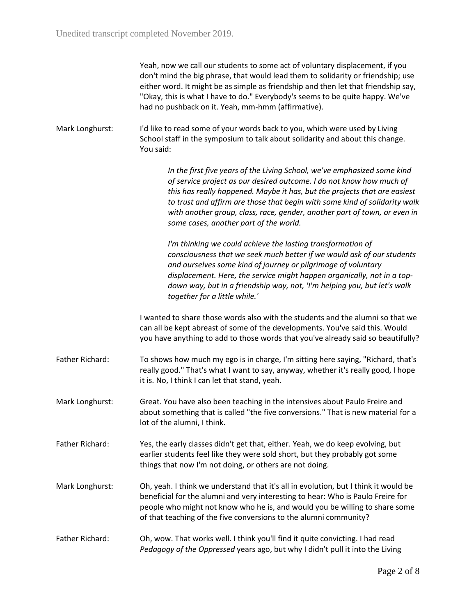| Yeah, now we call our students to some act of voluntary displacement, if you       |
|------------------------------------------------------------------------------------|
| don't mind the big phrase, that would lead them to solidarity or friendship; use   |
| either word. It might be as simple as friendship and then let that friendship say, |
| "Okay, this is what I have to do." Everybody's seems to be quite happy. We've      |
| had no pushback on it. Yeah, mm-hmm (affirmative).                                 |

Mark Longhurst: I'd like to read some of your words back to you, which were used by Living School staff in the symposium to talk about solidarity and about this change. You said:

> *In the first five years of the Living School, we've emphasized some kind of service project as our desired outcome. I do not know how much of this has really happened. Maybe it has, but the projects that are easiest to trust and affirm are those that begin with some kind of solidarity walk with another group, class, race, gender, another part of town, or even in some cases, another part of the world.*

*I'm thinking we could achieve the lasting transformation of consciousness that we seek much better if we would ask of our students and ourselves some kind of journey or pilgrimage of voluntary displacement. Here, the service might happen organically, not in a topdown way, but in a friendship way, not, 'I'm helping you, but let's walk together for a little while.'*

I wanted to share those words also with the students and the alumni so that we can all be kept abreast of some of the developments. You've said this. Would you have anything to add to those words that you've already said so beautifully?

- Father Richard: To shows how much my ego is in charge, I'm sitting here saying, "Richard, that's really good." That's what I want to say, anyway, whether it's really good, I hope it is. No, I think I can let that stand, yeah.
- Mark Longhurst: Great. You have also been teaching in the intensives about Paulo Freire and about something that is called "the five conversions." That is new material for a lot of the alumni, I think.
- Father Richard: Yes, the early classes didn't get that, either. Yeah, we do keep evolving, but earlier students feel like they were sold short, but they probably got some things that now I'm not doing, or others are not doing.
- Mark Longhurst: Oh, yeah. I think we understand that it's all in evolution, but I think it would be beneficial for the alumni and very interesting to hear: Who is Paulo Freire for people who might not know who he is, and would you be willing to share some of that teaching of the five conversions to the alumni community?
- Father Richard: Oh, wow. That works well. I think you'll find it quite convicting. I had read *Pedagogy of the Oppressed* years ago, but why I didn't pull it into the Living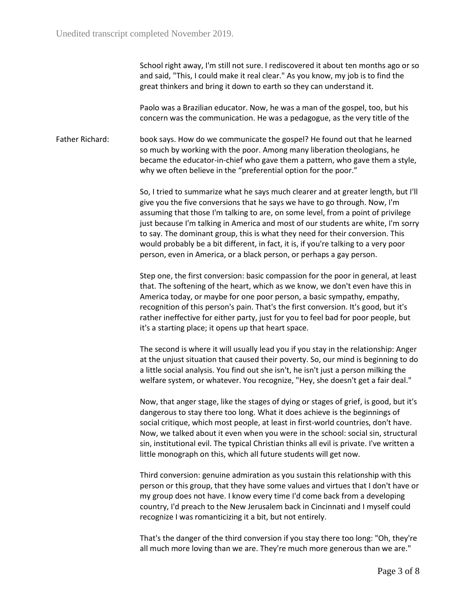School right away, I'm still not sure. I rediscovered it about ten months ago or so and said, "This, I could make it real clear." As you know, my job is to find the great thinkers and bring it down to earth so they can understand it.

Paolo was a Brazilian educator. Now, he was a man of the gospel, too, but his concern was the communication. He was a pedagogue, as the very title of the

Father Richard: book says. How do we communicate the gospel? He found out that he learned so much by working with the poor. Among many liberation theologians, he became the educator-in-chief who gave them a pattern, who gave them a style, why we often believe in the "preferential option for the poor."

> So, I tried to summarize what he says much clearer and at greater length, but I'll give you the five conversions that he says we have to go through. Now, I'm assuming that those I'm talking to are, on some level, from a point of privilege just because I'm talking in America and most of our students are white, I'm sorry to say. The dominant group, this is what they need for their conversion. This would probably be a bit different, in fact, it is, if you're talking to a very poor person, even in America, or a black person, or perhaps a gay person.

Step one, the first conversion: basic compassion for the poor in general, at least that. The softening of the heart, which as we know, we don't even have this in America today, or maybe for one poor person, a basic sympathy, empathy, recognition of this person's pain. That's the first conversion. It's good, but it's rather ineffective for either party, just for you to feel bad for poor people, but it's a starting place; it opens up that heart space.

The second is where it will usually lead you if you stay in the relationship: Anger at the unjust situation that caused their poverty. So, our mind is beginning to do a little social analysis. You find out she isn't, he isn't just a person milking the welfare system, or whatever. You recognize, "Hey, she doesn't get a fair deal."

Now, that anger stage, like the stages of dying or stages of grief, is good, but it's dangerous to stay there too long. What it does achieve is the beginnings of social critique, which most people, at least in first-world countries, don't have. Now, we talked about it even when you were in the school: social sin, structural sin, institutional evil. The typical Christian thinks all evil is private. I've written a little monograph on this, which all future students will get now.

Third conversion: genuine admiration as you sustain this relationship with this person or this group, that they have some values and virtues that I don't have or my group does not have. I know every time I'd come back from a developing country, I'd preach to the New Jerusalem back in Cincinnati and I myself could recognize I was romanticizing it a bit, but not entirely.

That's the danger of the third conversion if you stay there too long: "Oh, they're all much more loving than we are. They're much more generous than we are."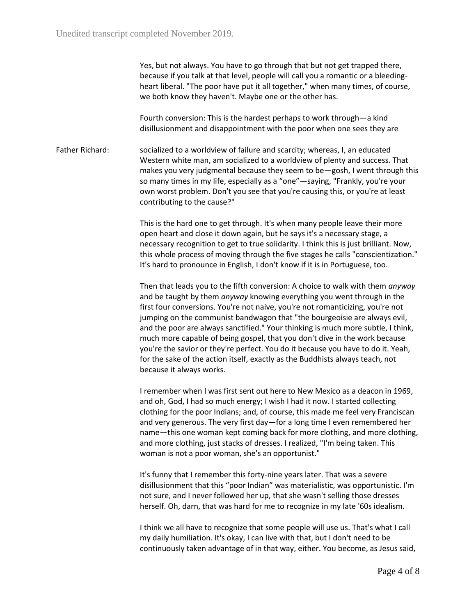Yes, but not always. You have to go through that but not get trapped there, because if you talk at that level, people will call you a romantic or a bleedingheart liberal. "The poor have put it all together," when many times, of course, we both know they haven't. Maybe one or the other has.

Fourth conversion: This is the hardest perhaps to work through—a kind disillusionment and disappointment with the poor when one sees they are

Father Richard: socialized to a worldview of failure and scarcity; whereas, I, an educated Western white man, am socialized to a worldview of plenty and success. That makes you very judgmental because they seem to be—gosh, I went through this so many times in my life, especially as a "one"—saying, "Frankly, you're your own worst problem. Don't you see that you're causing this, or you're at least contributing to the cause?"

> This is the hard one to get through. It's when many people leave their more open heart and close it down again, but he says it's a necessary stage, a necessary recognition to get to true solidarity. I think this is just brilliant. Now, this whole process of moving through the five stages he calls "conscientization." It's hard to pronounce in English, I don't know if it is in Portuguese, too.

> Then that leads you to the fifth conversion: A choice to walk with them *anyway* and be taught by them *anyway* knowing everything you went through in the first four conversions. You're not naive, you're not romanticizing, you're not jumping on the communist bandwagon that "the bourgeoisie are always evil, and the poor are always sanctified." Your thinking is much more subtle, I think, much more capable of being gospel, that you don't dive in the work because you're the savior or they're perfect. You do it because you have to do it. Yeah, for the sake of the action itself, exactly as the Buddhists always teach, not because it always works.

> I remember when I was first sent out here to New Mexico as a deacon in 1969, and oh, God, I had so much energy; I wish I had it now. I started collecting clothing for the poor Indians; and, of course, this made me feel very Franciscan and very generous. The very first day—for a long time I even remembered her name—this one woman kept coming back for more clothing, and more clothing, and more clothing, just stacks of dresses. I realized, "I'm being taken. This woman is not a poor woman, she's an opportunist."

It's funny that I remember this forty-nine years later. That was a severe disillusionment that this "poor Indian" was materialistic, was opportunistic. I'm not sure, and I never followed her up, that she wasn't selling those dresses herself. Oh, darn, that was hard for me to recognize in my late '60s idealism.

I think we all have to recognize that some people will use us. That's what I call my daily humiliation. It's okay, I can live with that, but I don't need to be continuously taken advantage of in that way, either. You become, as Jesus said,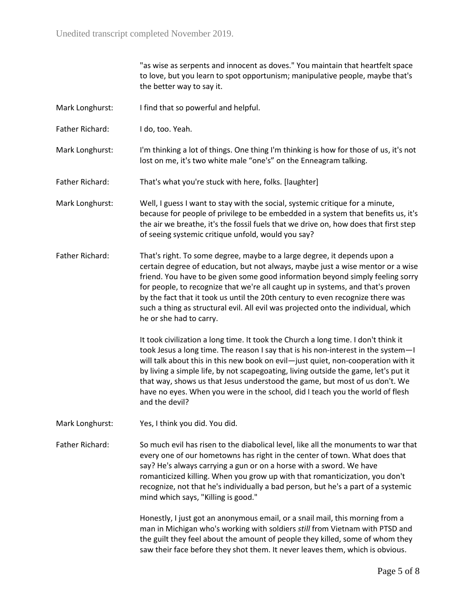"as wise as serpents and innocent as doves." You maintain that heartfelt space to love, but you learn to spot opportunism; manipulative people, maybe that's the better way to say it. Mark Longhurst: I find that so powerful and helpful. Father Richard: I do, too. Yeah. Mark Longhurst: I'm thinking a lot of things. One thing I'm thinking is how for those of us, it's not lost on me, it's two white male "one's" on the Enneagram talking. Father Richard: That's what you're stuck with here, folks. [laughter] Mark Longhurst: Well, I guess I want to stay with the social, systemic critique for a minute, because for people of privilege to be embedded in a system that benefits us, it's the air we breathe, it's the fossil fuels that we drive on, how does that first step of seeing systemic critique unfold, would you say? Father Richard: That's right. To some degree, maybe to a large degree, it depends upon a certain degree of education, but not always, maybe just a wise mentor or a wise friend. You have to be given some good information beyond simply feeling sorry for people, to recognize that we're all caught up in systems, and that's proven by the fact that it took us until the 20th century to even recognize there was such a thing as structural evil. All evil was projected onto the individual, which he or she had to carry. It took civilization a long time. It took the Church a long time. I don't think it took Jesus a long time. The reason I say that is his non-interest in the system—I will talk about this in this new book on evil—just quiet, non-cooperation with it by living a simple life, by not scapegoating, living outside the game, let's put it that way, shows us that Jesus understood the game, but most of us don't. We have no eyes. When you were in the school, did I teach you the world of flesh and the devil? Mark Longhurst: Yes, I think you did. You did. Father Richard: So much evil has risen to the diabolical level, like all the monuments to war that every one of our hometowns has right in the center of town. What does that say? He's always carrying a gun or on a horse with a sword. We have romanticized killing. When you grow up with that romanticization, you don't recognize, not that he's individually a bad person, but he's a part of a systemic mind which says, "Killing is good." Honestly, I just got an anonymous email, or a snail mail, this morning from a man in Michigan who's working with soldiers *still* from Vietnam with PTSD and the guilt they feel about the amount of people they killed, some of whom they saw their face before they shot them. It never leaves them, which is obvious.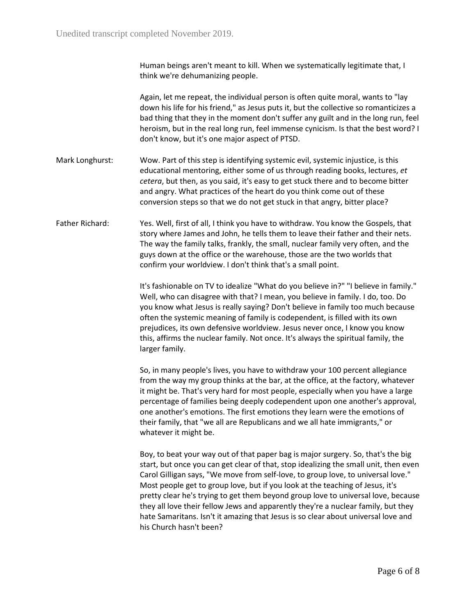| Human beings aren't meant to kill. When we systematically legitimate that, I |  |
|------------------------------------------------------------------------------|--|
| think we're dehumanizing people.                                             |  |

Again, let me repeat, the individual person is often quite moral, wants to "lay down his life for his friend," as Jesus puts it, but the collective so romanticizes a bad thing that they in the moment don't suffer any guilt and in the long run, feel heroism, but in the real long run, feel immense cynicism. Is that the best word? I don't know, but it's one major aspect of PTSD.

- Mark Longhurst: Wow. Part of this step is identifying systemic evil, systemic injustice, is this educational mentoring, either some of us through reading books, lectures, *et cetera*, but then, as you said, it's easy to get stuck there and to become bitter and angry. What practices of the heart do you think come out of these conversion steps so that we do not get stuck in that angry, bitter place?
- Father Richard: Yes. Well, first of all, I think you have to withdraw. You know the Gospels, that story where James and John, he tells them to leave their father and their nets. The way the family talks, frankly, the small, nuclear family very often, and the guys down at the office or the warehouse, those are the two worlds that confirm your worldview. I don't think that's a small point.

It's fashionable on TV to idealize "What do you believe in?" "I believe in family." Well, who can disagree with that? I mean, you believe in family. I do, too. Do you know what Jesus is really saying? Don't believe in family too much because often the systemic meaning of family is codependent, is filled with its own prejudices, its own defensive worldview. Jesus never once, I know you know this, affirms the nuclear family. Not once. It's always the spiritual family, the larger family.

So, in many people's lives, you have to withdraw your 100 percent allegiance from the way my group thinks at the bar, at the office, at the factory, whatever it might be. That's very hard for most people, especially when you have a large percentage of families being deeply codependent upon one another's approval, one another's emotions. The first emotions they learn were the emotions of their family, that "we all are Republicans and we all hate immigrants," or whatever it might be.

Boy, to beat your way out of that paper bag is major surgery. So, that's the big start, but once you can get clear of that, stop idealizing the small unit, then even Carol Gilligan says, "We move from self-love, to group love, to universal love." Most people get to group love, but if you look at the teaching of Jesus, it's pretty clear he's trying to get them beyond group love to universal love, because they all love their fellow Jews and apparently they're a nuclear family, but they hate Samaritans. Isn't it amazing that Jesus is so clear about universal love and his Church hasn't been?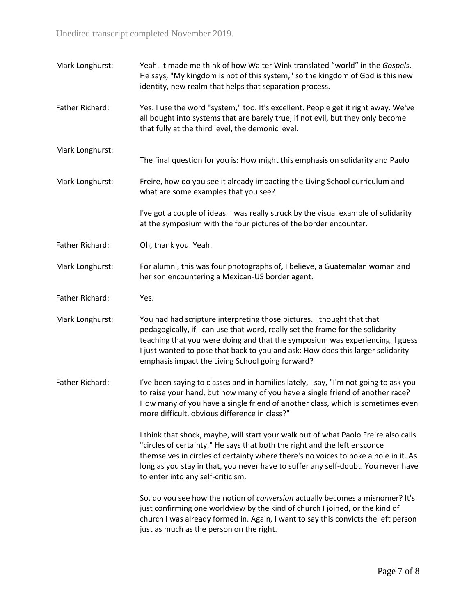Unedited transcript completed November 2019.

Mark Longhurst: Yeah. It made me think of how Walter Wink translated "world" in the *Gospels*. He says, "My kingdom is not of this system," so the kingdom of God is this new identity, new realm that helps that separation process. Father Richard: Yes. I use the word "system," too. It's excellent. People get it right away. We've all bought into systems that are barely true, if not evil, but they only become that fully at the third level, the demonic level. Mark Longhurst: The final question for you is: How might this emphasis on solidarity and Paulo Mark Longhurst: Freire, how do you see it already impacting the Living School curriculum and what are some examples that you see? I've got a couple of ideas. I was really struck by the visual example of solidarity at the symposium with the four pictures of the border encounter. Father Richard: Oh, thank you. Yeah. Mark Longhurst: For alumni, this was four photographs of, I believe, a Guatemalan woman and her son encountering a Mexican-US border agent. Father Richard: Yes. Mark Longhurst: You had had scripture interpreting those pictures. I thought that that pedagogically, if I can use that word, really set the frame for the solidarity teaching that you were doing and that the symposium was experiencing. I guess I just wanted to pose that back to you and ask: How does this larger solidarity emphasis impact the Living School going forward? Father Richard: I've been saying to classes and in homilies lately, I say, "I'm not going to ask you to raise your hand, but how many of you have a single friend of another race? How many of you have a single friend of another class, which is sometimes even more difficult, obvious difference in class?" I think that shock, maybe, will start your walk out of what Paolo Freire also calls "circles of certainty." He says that both the right and the left ensconce themselves in circles of certainty where there's no voices to poke a hole in it. As long as you stay in that, you never have to suffer any self-doubt. You never have to enter into any self-criticism. So, do you see how the notion of *conversion* actually becomes a misnomer? It's just confirming one worldview by the kind of church I joined, or the kind of church I was already formed in. Again, I want to say this convicts the left person just as much as the person on the right.